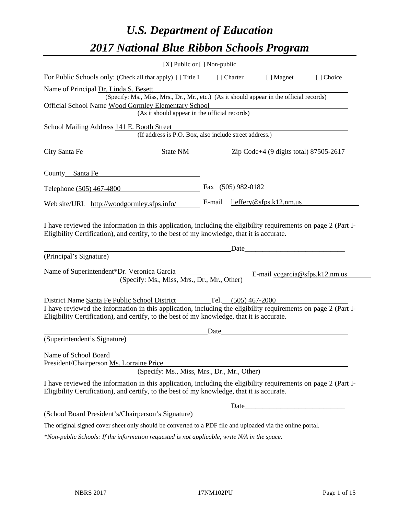# *U.S. Department of Education 2017 National Blue Ribbon Schools Program*

|                                                                  | [X] Public or [] Non-public                                                                                                                                                                                  |                      |                                  |           |
|------------------------------------------------------------------|--------------------------------------------------------------------------------------------------------------------------------------------------------------------------------------------------------------|----------------------|----------------------------------|-----------|
|                                                                  | For Public Schools only: (Check all that apply) [ ] Title I                                                                                                                                                  | [ ] Charter          | [ ] Magnet                       | [] Choice |
| Name of Principal Dr. Linda S. Besett                            |                                                                                                                                                                                                              |                      |                                  |           |
|                                                                  | (Specify: Ms., Miss, Mrs., Dr., Mr., etc.) (As it should appear in the official records)                                                                                                                     |                      |                                  |           |
|                                                                  | Official School Name Wood Gormley Elementary School<br>(As it should appear in the official records)                                                                                                         |                      |                                  |           |
|                                                                  |                                                                                                                                                                                                              |                      |                                  |           |
| School Mailing Address 141 E. Booth Street                       | (If address is P.O. Box, also include street address.)                                                                                                                                                       |                      |                                  |           |
| City Santa Fe                                                    | State NM Zip Code+4 (9 digits total) 87505-2617                                                                                                                                                              |                      |                                  |           |
| County Santa Fe                                                  | <u> 1989 - Johann Barbara, martin a</u>                                                                                                                                                                      |                      |                                  |           |
| Telephone (505) 467-4800                                         |                                                                                                                                                                                                              | Fax $(505)$ 982-0182 |                                  |           |
| Web site/URL http://woodgormley.sfps.info/                       |                                                                                                                                                                                                              | E-mail               | ljeffery@sfps.k12.nm.us          |           |
|                                                                  | I have reviewed the information in this application, including the eligibility requirements on page 2 (Part I-<br>Eligibility Certification), and certify, to the best of my knowledge, that it is accurate. | Date                 |                                  |           |
| (Principal's Signature)                                          |                                                                                                                                                                                                              |                      |                                  |           |
| Name of Superintendent*Dr. Veronica Garcia                       | (Specify: Ms., Miss, Mrs., Dr., Mr., Other)                                                                                                                                                                  |                      | E-mail $vegarcia@sfps.k12.nm.us$ |           |
|                                                                  | District Name Santa Fe Public School District Tel. (505) 467-2000                                                                                                                                            |                      |                                  |           |
|                                                                  | I have reviewed the information in this application, including the eligibility requirements on page 2 (Part I-<br>Eligibility Certification), and certify, to the best of my knowledge, that it is accurate. |                      |                                  |           |
|                                                                  |                                                                                                                                                                                                              | Date                 |                                  |           |
| (Superintendent's Signature)                                     |                                                                                                                                                                                                              |                      |                                  |           |
| Name of School Board<br>President/Chairperson Ms. Lorraine Price | (Specify: Ms., Miss, Mrs., Dr., Mr., Other)                                                                                                                                                                  |                      |                                  |           |
|                                                                  | I have reviewed the information in this application, including the eligibility requirements on page 2 (Part I-<br>Eligibility Certification), and certify, to the best of my knowledge, that it is accurate. |                      |                                  |           |
|                                                                  |                                                                                                                                                                                                              | Date_                |                                  |           |
| (School Board President's/Chairperson's Signature)               |                                                                                                                                                                                                              |                      |                                  |           |
|                                                                  | The original signed cover sheet only should be converted to a PDF file and uploaded via the online portal.                                                                                                   |                      |                                  |           |
|                                                                  | *Non-public Schools: If the information requested is not applicable, write N/A in the space.                                                                                                                 |                      |                                  |           |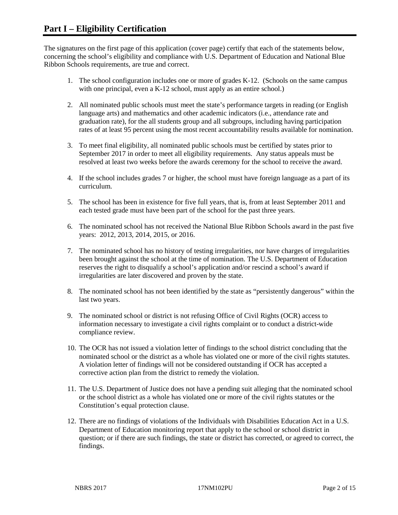The signatures on the first page of this application (cover page) certify that each of the statements below, concerning the school's eligibility and compliance with U.S. Department of Education and National Blue Ribbon Schools requirements, are true and correct.

- 1. The school configuration includes one or more of grades K-12. (Schools on the same campus with one principal, even a K-12 school, must apply as an entire school.)
- 2. All nominated public schools must meet the state's performance targets in reading (or English language arts) and mathematics and other academic indicators (i.e., attendance rate and graduation rate), for the all students group and all subgroups, including having participation rates of at least 95 percent using the most recent accountability results available for nomination.
- 3. To meet final eligibility, all nominated public schools must be certified by states prior to September 2017 in order to meet all eligibility requirements. Any status appeals must be resolved at least two weeks before the awards ceremony for the school to receive the award.
- 4. If the school includes grades 7 or higher, the school must have foreign language as a part of its curriculum.
- 5. The school has been in existence for five full years, that is, from at least September 2011 and each tested grade must have been part of the school for the past three years.
- 6. The nominated school has not received the National Blue Ribbon Schools award in the past five years: 2012, 2013, 2014, 2015, or 2016.
- 7. The nominated school has no history of testing irregularities, nor have charges of irregularities been brought against the school at the time of nomination. The U.S. Department of Education reserves the right to disqualify a school's application and/or rescind a school's award if irregularities are later discovered and proven by the state.
- 8. The nominated school has not been identified by the state as "persistently dangerous" within the last two years.
- 9. The nominated school or district is not refusing Office of Civil Rights (OCR) access to information necessary to investigate a civil rights complaint or to conduct a district-wide compliance review.
- 10. The OCR has not issued a violation letter of findings to the school district concluding that the nominated school or the district as a whole has violated one or more of the civil rights statutes. A violation letter of findings will not be considered outstanding if OCR has accepted a corrective action plan from the district to remedy the violation.
- 11. The U.S. Department of Justice does not have a pending suit alleging that the nominated school or the school district as a whole has violated one or more of the civil rights statutes or the Constitution's equal protection clause.
- 12. There are no findings of violations of the Individuals with Disabilities Education Act in a U.S. Department of Education monitoring report that apply to the school or school district in question; or if there are such findings, the state or district has corrected, or agreed to correct, the findings.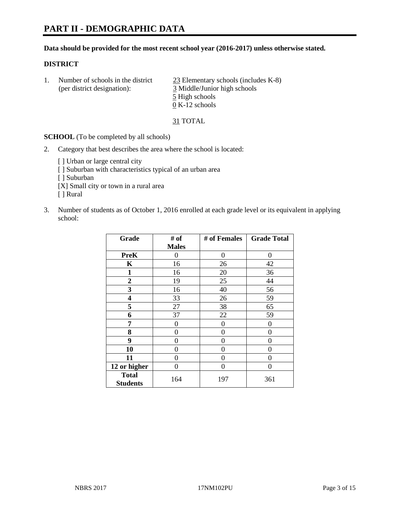#### **Data should be provided for the most recent school year (2016-2017) unless otherwise stated.**

### **DISTRICT**

1. Number of schools in the district  $\frac{23}{25}$  Elementary schools (includes K-8) (per district designation): 3 Middle/Junior high schools 5 High schools 0 K-12 schools

31 TOTAL

**SCHOOL** (To be completed by all schools)

- 2. Category that best describes the area where the school is located:
	- [] Urban or large central city [ ] Suburban with characteristics typical of an urban area [ ] Suburban [X] Small city or town in a rural area [ ] Rural
- 3. Number of students as of October 1, 2016 enrolled at each grade level or its equivalent in applying school:

| Grade                           | # of         | # of Females | <b>Grade Total</b> |
|---------------------------------|--------------|--------------|--------------------|
|                                 | <b>Males</b> |              |                    |
| <b>PreK</b>                     | 0            | $\theta$     | 0                  |
| $\mathbf K$                     | 16           | 26           | 42                 |
| $\mathbf{1}$                    | 16           | 20           | 36                 |
| $\overline{2}$                  | 19           | 25           | 44                 |
| 3                               | 16           | 40           | 56                 |
| 4                               | 33           | 26           | 59                 |
| 5                               | 27           | 38           | 65                 |
| 6                               | 37           | 22           | 59                 |
| 7                               | 0            | $\theta$     | 0                  |
| 8                               | 0            | 0            | 0                  |
| 9                               | 0            | 0            | 0                  |
| 10                              | 0            | 0            | 0                  |
| 11                              | 0            | 0            | $\mathbf{\Omega}$  |
| 12 or higher                    | 0            | 0            | 0                  |
| <b>Total</b><br><b>Students</b> | 164          | 197          | 361                |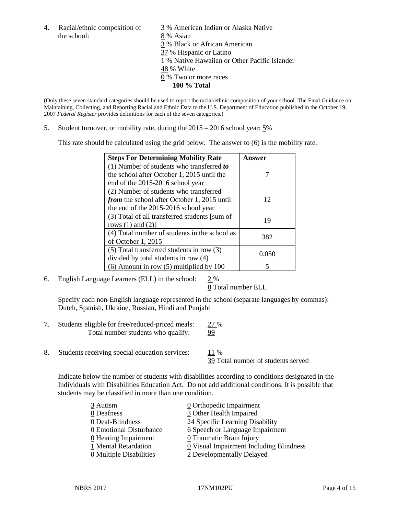the school: 8 % Asian

4. Racial/ethnic composition of  $\frac{3}{9}$ % American Indian or Alaska Native 3 % Black or African American 37 % Hispanic or Latino 1 % Native Hawaiian or Other Pacific Islander 48 % White 0 % Two or more races **100 % Total**

(Only these seven standard categories should be used to report the racial/ethnic composition of your school. The Final Guidance on Maintaining, Collecting, and Reporting Racial and Ethnic Data to the U.S. Department of Education published in the October 19, 2007 *Federal Register* provides definitions for each of the seven categories.)

5. Student turnover, or mobility rate, during the 2015 – 2016 school year: 5%

This rate should be calculated using the grid below. The answer to (6) is the mobility rate.

| <b>Steps For Determining Mobility Rate</b>         | Answer |  |
|----------------------------------------------------|--------|--|
| (1) Number of students who transferred to          |        |  |
| the school after October 1, 2015 until the         |        |  |
| end of the 2015-2016 school year                   |        |  |
| (2) Number of students who transferred             |        |  |
| <i>from</i> the school after October 1, 2015 until | 12     |  |
| the end of the 2015-2016 school year               |        |  |
| (3) Total of all transferred students [sum of      | 19     |  |
| rows $(1)$ and $(2)$ ]                             |        |  |
| (4) Total number of students in the school as      | 382    |  |
| of October 1, 2015                                 |        |  |
| (5) Total transferred students in row (3)          | 0.050  |  |
| divided by total students in row (4)               |        |  |
| $(6)$ Amount in row $(5)$ multiplied by 100        | 5      |  |

6. English Language Learners (ELL) in the school:  $2\%$ 

8 Total number ELL

Specify each non-English language represented in the school (separate languages by commas): Dutch, Spanish, Ukraine, Russian, Hindi and Punjabi

- 7. Students eligible for free/reduced-priced meals: 27 % Total number students who qualify: 99
- 8. Students receiving special education services: 11 %

39 Total number of students served

Indicate below the number of students with disabilities according to conditions designated in the Individuals with Disabilities Education Act. Do not add additional conditions. It is possible that students may be classified in more than one condition.

| 3 Autism                              | $\underline{0}$ Orthopedic Impairment   |
|---------------------------------------|-----------------------------------------|
| 0 Deafness                            | 3 Other Health Impaired                 |
| 0 Deaf-Blindness                      | 24 Specific Learning Disability         |
| 0 Emotional Disturbance               | 6 Speech or Language Impairment         |
| 0 Hearing Impairment                  | 0 Traumatic Brain Injury                |
| 1 Mental Retardation                  | 0 Visual Impairment Including Blindness |
| $\underline{0}$ Multiple Disabilities | 2 Developmentally Delayed               |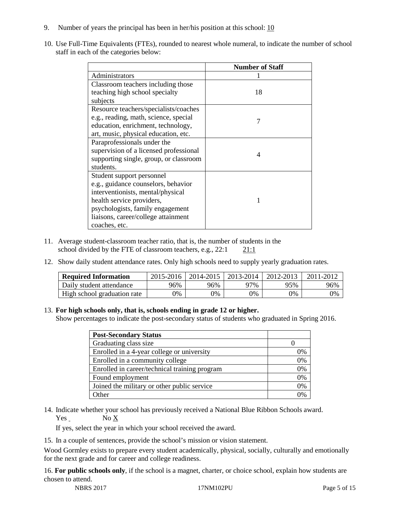- 9. Number of years the principal has been in her/his position at this school:  $\frac{10}{10}$
- 10. Use Full-Time Equivalents (FTEs), rounded to nearest whole numeral, to indicate the number of school staff in each of the categories below:

|                                        | <b>Number of Staff</b> |
|----------------------------------------|------------------------|
| Administrators                         |                        |
| Classroom teachers including those     |                        |
| teaching high school specialty         | 18                     |
| subjects                               |                        |
| Resource teachers/specialists/coaches  |                        |
| e.g., reading, math, science, special  | 7                      |
| education, enrichment, technology,     |                        |
| art, music, physical education, etc.   |                        |
| Paraprofessionals under the            |                        |
| supervision of a licensed professional | 4                      |
| supporting single, group, or classroom |                        |
| students.                              |                        |
| Student support personnel              |                        |
| e.g., guidance counselors, behavior    |                        |
| interventionists, mental/physical      |                        |
| health service providers,              |                        |
| psychologists, family engagement       |                        |
| liaisons, career/college attainment    |                        |
| coaches, etc.                          |                        |

- 11. Average student-classroom teacher ratio, that is, the number of students in the school divided by the FTE of classroom teachers, e.g.,  $22:1$  21:1
- 12. Show daily student attendance rates. Only high schools need to supply yearly graduation rates.

| <b>Required Information</b> | 2015-2016 | 2014-2015 | 2013-2014 | 2012-2013 |     |
|-----------------------------|-----------|-----------|-----------|-----------|-----|
| Daily student attendance    | 96%       | 96%       | 97%       | 95%       | 96% |
| High school graduation rate | 0%        | 0%        | 0%        | 9%        | 0%  |

#### 13. **For high schools only, that is, schools ending in grade 12 or higher.**

Show percentages to indicate the post-secondary status of students who graduated in Spring 2016.

| <b>Post-Secondary Status</b>                  |    |
|-----------------------------------------------|----|
| Graduating class size                         |    |
| Enrolled in a 4-year college or university    | 0% |
| Enrolled in a community college               | 0% |
| Enrolled in career/technical training program | 0% |
| Found employment                              | 0% |
| Joined the military or other public service   | 0% |
| )ther                                         |    |

14. Indicate whether your school has previously received a National Blue Ribbon Schools award. Yes No X

If yes, select the year in which your school received the award.

15. In a couple of sentences, provide the school's mission or vision statement.

Wood Gormley exists to prepare every student academically, physical, socially, culturally and emotionally for the next grade and for career and college readiness.

16. **For public schools only**, if the school is a magnet, charter, or choice school, explain how students are chosen to attend.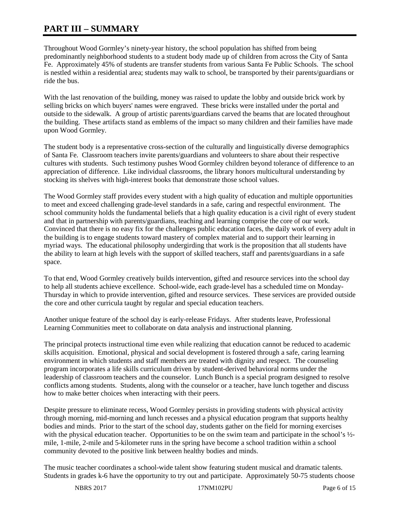# **PART III – SUMMARY**

Throughout Wood Gormley's ninety-year history, the school population has shifted from being predominantly neighborhood students to a student body made up of children from across the City of Santa Fe. Approximately 45% of students are transfer students from various Santa Fe Public Schools. The school is nestled within a residential area; students may walk to school, be transported by their parents/guardians or ride the bus.

With the last renovation of the building, money was raised to update the lobby and outside brick work by selling bricks on which buyers' names were engraved. These bricks were installed under the portal and outside to the sidewalk. A group of artistic parents/guardians carved the beams that are located throughout the building. These artifacts stand as emblems of the impact so many children and their families have made upon Wood Gormley.

The student body is a representative cross-section of the culturally and linguistically diverse demographics of Santa Fe. Classroom teachers invite parents/guardians and volunteers to share about their respective cultures with students. Such testimony pushes Wood Gormley children beyond tolerance of difference to an appreciation of difference. Like individual classrooms, the library honors multicultural understanding by stocking its shelves with high-interest books that demonstrate those school values.

The Wood Gormley staff provides every student with a high quality of education and multiple opportunities to meet and exceed challenging grade-level standards in a safe, caring and respectful environment. The school community holds the fundamental beliefs that a high quality education is a civil right of every student and that in partnership with parents/guardians, teaching and learning comprise the core of our work. Convinced that there is no easy fix for the challenges public education faces, the daily work of every adult in the building is to engage students toward mastery of complex material and to support their learning in myriad ways. The educational philosophy undergirding that work is the proposition that all students have the ability to learn at high levels with the support of skilled teachers, staff and parents/guardians in a safe space.

To that end, Wood Gormley creatively builds intervention, gifted and resource services into the school day to help all students achieve excellence. School-wide, each grade-level has a scheduled time on Monday-Thursday in which to provide intervention, gifted and resource services. These services are provided outside the core and other curricula taught by regular and special education teachers.

Another unique feature of the school day is early-release Fridays. After students leave, Professional Learning Communities meet to collaborate on data analysis and instructional planning.

The principal protects instructional time even while realizing that education cannot be reduced to academic skills acquisition. Emotional, physical and social development is fostered through a safe, caring learning environment in which students and staff members are treated with dignity and respect. The counseling program incorporates a life skills curriculum driven by student-derived behavioral norms under the leadership of classroom teachers and the counselor. Lunch Bunch is a special program designed to resolve conflicts among students. Students, along with the counselor or a teacher, have lunch together and discuss how to make better choices when interacting with their peers.

Despite pressure to eliminate recess, Wood Gormley persists in providing students with physical activity through morning, mid-morning and lunch recesses and a physical education program that supports healthy bodies and minds. Prior to the start of the school day, students gather on the field for morning exercises with the physical education teacher. Opportunities to be on the swim team and participate in the school's  $\frac{1}{2}$ mile, 1-mile, 2-mile and 5-kilometer runs in the spring have become a school tradition within a school community devoted to the positive link between healthy bodies and minds.

The music teacher coordinates a school-wide talent show featuring student musical and dramatic talents. Students in grades k-6 have the opportunity to try out and participate. Approximately 50-75 students choose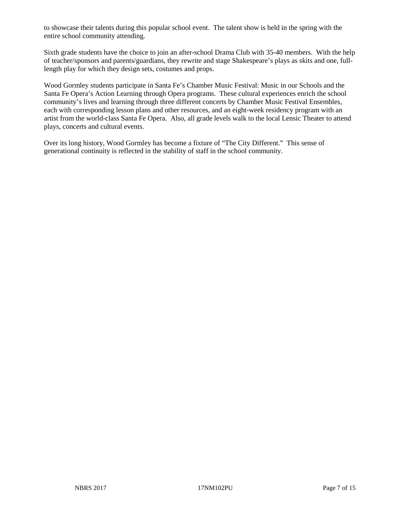to showcase their talents during this popular school event. The talent show is held in the spring with the entire school community attending.

Sixth grade students have the choice to join an after-school Drama Club with 35-40 members. With the help of teacher/sponsors and parents/guardians, they rewrite and stage Shakespeare's plays as skits and one, fulllength play for which they design sets, costumes and props.

Wood Gormley students participate in Santa Fe's Chamber Music Festival: Music in our Schools and the Santa Fe Opera's Action Learning through Opera programs. These cultural experiences enrich the school community's lives and learning through three different concerts by Chamber Music Festival Ensembles, each with corresponding lesson plans and other resources, and an eight-week residency program with an artist from the world-class Santa Fe Opera. Also, all grade levels walk to the local Lensic Theater to attend plays, concerts and cultural events.

Over its long history, Wood Gormley has become a fixture of "The City Different." This sense of generational continuity is reflected in the stability of staff in the school community.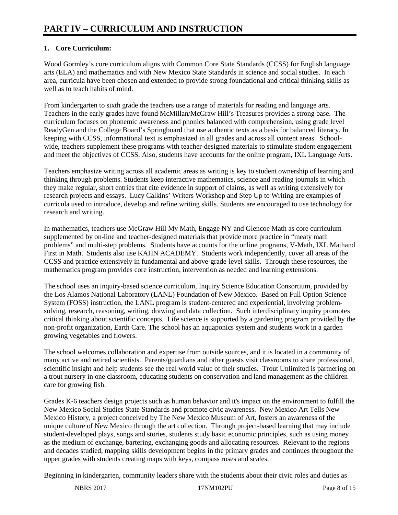# **1. Core Curriculum:**

Wood Gormley's core curriculum aligns with Common Core State Standards (CCSS) for English language arts (ELA) and mathematics and with New Mexico State Standards in science and social studies. In each area, curricula have been chosen and extended to provide strong foundational and critical thinking skills as well as to teach habits of mind.

From kindergarten to sixth grade the teachers use a range of materials for reading and language arts. Teachers in the early grades have found McMillan/McGraw Hill's Treasures provides a strong base. The curriculum focuses on phonemic awareness and phonics balanced with comprehension, using grade level ReadyGen and the College Board's Springboard that use authentic texts as a basis for balanced literacy. In keeping with CCSS, informational text is emphasized in all grades and across all content areas. Schoolwide, teachers supplement these programs with teacher-designed materials to stimulate student engagement and meet the objectives of CCSS. Also, students have accounts for the online program, IXL Language Arts.

Teachers emphasize writing across all academic areas as writing is key to student ownership of learning and thinking through problems. Students keep interactive mathematics, science and reading journals in which they make regular, short entries that cite evidence in support of claims, as well as writing extensively for research projects and essays. Lucy Calkins' Writers Workshop and Step Up to Writing are examples of curricula used to introduce, develop and refine writing skills. Students are encouraged to use technology for research and writing.

In mathematics, teachers use McGraw Hill My Math, Engage NY and Glencoe Math as core curriculum supplemented by on-line and teacher-designed materials that provide more practice in "meaty math problems" and multi-step problems. Students have accounts for the online programs, V-Math, IXL Mathand First in Math. Students also use KAHN ACADEMY. Students work independently, cover all areas of the CCSS and practice extensively in fundamental and above-grade-level skills. Through these resources, the mathematics program provides core instruction, intervention as needed and learning extensions.

The school uses an inquiry-based science curriculum, Inquiry Science Education Consortium, provided by the Los Alamos National Laboratory (LANL) Foundation of New Mexico. Based on Full Option Science System (FOSS) instruction, the LANL program is student-centered and experiential, involving problemsolving, research, reasoning, writing, drawing and data collection. Such interdisciplinary inquiry promotes critical thinking about scientific concepts. Life science is supported by a gardening program provided by the non-profit organization, Earth Care. The school has an aquaponics system and students work in a garden growing vegetables and flowers.

The school welcomes collaboration and expertise from outside sources, and it is located in a community of many active and retired scientists. Parents/guardians and other guests visit classrooms to share professional, scientific insight and help students see the real world value of their studies. Trout Unlimited is partnering on a trout nursery in one classroom, educating students on conservation and land management as the children care for growing fish.

Grades K-6 teachers design projects such as human behavior and it's impact on the environment to fulfill the New Mexico Social Studies State Standards and promote civic awareness. New Mexico Art Tells New Mexico History, a project conceived by The New Mexico Museum of Art, fosters an awareness of the unique culture of New Mexico through the art collection. Through project-based learning that may include student-developed plays, songs and stories, students study basic economic principles, such as using money as the medium of exchange, bartering, exchanging goods and allocating resources. Relevant to the regions and decades studied, mapping skills development begins in the primary grades and continues throughout the upper grades with students creating maps with keys, compass roses and scales.

Beginning in kindergarten, community leaders share with the students about their civic roles and duties as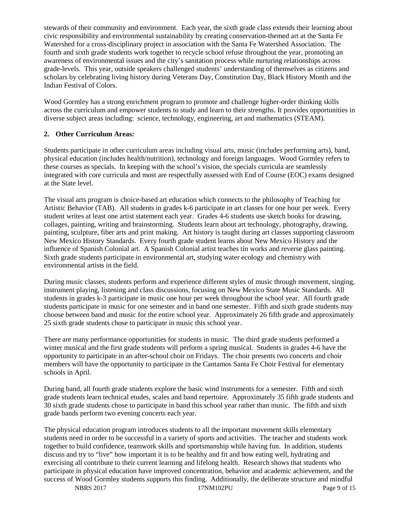stewards of their community and environment. Each year, the sixth grade class extends their learning about civic responsibility and environmental sustainability by creating conservation-themed art at the Santa Fe Watershed for a cross-disciplinary project in association with the Santa Fe Watershed Association. The fourth and sixth grade students work together to recycle school refuse throughout the year, promoting an awareness of environmental issues and the city's sanitation process while nurturing relationships across grade-levels. This year, outside speakers challenged students' understanding of themselves as citizens and scholars by celebrating living history during Veterans Day, Constitution Day, Black History Month and the Indian Festival of Colors.

Wood Gormley has a strong enrichment program to promote and challenge higher-order thinking skills across the curriculum and empower students to study and learn to their strengths. It provides opportunities in diverse subject areas including: science, technology, engineering, art and mathematics (STEAM).

# **2. Other Curriculum Areas:**

Students participate in other curriculum areas including visual arts, music (includes performing arts), band, physical education (includes health/nutrition), technology and foreign languages. Wood Gormley refers to these courses as specials. In keeping with the school's vision, the specials curricula are seamlessly integrated with core curricula and most are respectfully assessed with End of Course (EOC) exams designed at the State level.

The visual arts program is choice-based art education which connects to the philosophy of Teaching for Artistic Behavior (TAB). All students in grades k-6 participate in art classes for one hour per week. Every student writes at least one artist statement each year. Grades 4-6 students use sketch books for drawing, collages, painting, writing and brainstorming. Students learn about art technology, photography, drawing, painting, sculpture, fiber arts and print making. Art history is taught during art classes supporting classroom New Mexico History Standards. Every fourth grade student learns about New Mexico History and the influence of Spanish Colonial art. A Spanish Colonial artist teaches tin works and reverse glass painting. Sixth grade students participate in environmental art, studying water ecology and chemistry with environmental artists in the field.

During music classes, students perform and experience different styles of music through movement, singing, instrument playing, listening and class discussions, focusing on New Mexico State Music Standards. All students in grades k-3 participate in music one hour per week throughout the school year. All fourth grade students participate in music for one semester and in band one semester. Fifth and sixth grade students may choose between band and music for the entire school year. Approximately 26 fifth grade and approximately 25 sixth grade students chose to participate in music this school year.

There are many performance opportunities for students in music. The third grade students performed a winter musical and the first grade students will perform a spring musical. Students in grades 4-6 have the opportunity to participate in an after-school choir on Fridays. The choir presents two concerts and choir members will have the opportunity to participate in the Cantamos Santa Fe Choir Festival for elementary schools in April.

During band, all fourth grade students explore the basic wind instruments for a semester. Fifth and sixth grade students learn technical etudes, scales and band repertoire. Approximately 35 fifth grade students and 30 sixth grade students chose to participate in band this school year rather than music. The fifth and sixth grade bands perform two evening concerts each year.

The physical education program introduces students to all the important movement skills elementary students need in order to be successful in a variety of sports and activities. The teacher and students work together to build confidence, teamwork skills and sportsmanship while having fun. In addition, students discuss and try to "live" how important it is to be healthy and fit and how eating well, hydrating and exercising all contribute to their current learning and lifelong health. Research shows that students who participate in physical education have improved concentration, behavior and academic achievement, and the success of Wood Gormley students supports this finding. Additionally, the deliberate structure and mindful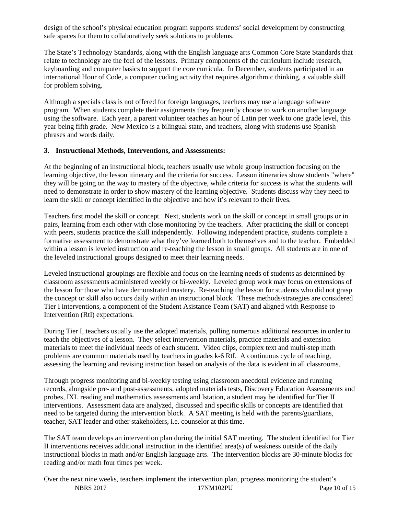design of the school's physical education program supports students' social development by constructing safe spaces for them to collaboratively seek solutions to problems.

The State's Technology Standards, along with the English language arts Common Core State Standards that relate to technology are the foci of the lessons. Primary components of the curriculum include research, keyboarding and computer basics to support the core curricula. In December, students participated in an international Hour of Code, a computer coding activity that requires algorithmic thinking, a valuable skill for problem solving.

Although a specials class is not offered for foreign languages, teachers may use a language software program. When students complete their assignments they frequently choose to work on another language using the software. Each year, a parent volunteer teaches an hour of Latin per week to one grade level, this year being fifth grade. New Mexico is a bilingual state, and teachers, along with students use Spanish phrases and words daily.

#### **3. Instructional Methods, Interventions, and Assessments:**

At the beginning of an instructional block, teachers usually use whole group instruction focusing on the learning objective, the lesson itinerary and the criteria for success. Lesson itineraries show students "where" they will be going on the way to mastery of the objective, while criteria for success is what the students will need to demonstrate in order to show mastery of the learning objective. Students discuss why they need to learn the skill or concept identified in the objective and how it's relevant to their lives.

Teachers first model the skill or concept. Next, students work on the skill or concept in small groups or in pairs, learning from each other with close monitoring by the teachers. After practicing the skill or concept with peers, students practice the skill independently. Following independent practice, students complete a formative assessment to demonstrate what they've learned both to themselves and to the teacher. Embedded within a lesson is leveled instruction and re-teaching the lesson in small groups. All students are in one of the leveled instructional groups designed to meet their learning needs.

Leveled instructional groupings are flexible and focus on the learning needs of students as determined by classroom assessments administered weekly or bi-weekly. Leveled group work may focus on extensions of the lesson for those who have demonstrated mastery. Re-teaching the lesson for students who did not grasp the concept or skill also occurs daily within an instructional block. These methods/strategies are considered Tier I interventions, a component of the Student Asistance Team (SAT) and aligned with Response to Intervention (RtI) expectations.

During Tier I, teachers usually use the adopted materials, pulling numerous additional resources in order to teach the objectives of a lesson. They select intervention materials, practice materials and extension materials to meet the individual needs of each student. Video clips, complex text and multi-step math problems are common materials used by teachers in grades k-6 RtI. A continuous cycle of teaching, assessing the learning and revising instruction based on analysis of the data is evident in all classrooms.

Through progress monitoring and bi-weekly testing using classroom anecdotal evidence and running records, alongside pre- and post-assessments, adopted materials tests, Discovery Education Assessments and probes, IXL reading and mathematics assessments and Istation, a student may be identified for Tier II interventions. Assessment data are analyzed, discussed and specific skills or concepts are identified that need to be targeted during the intervention block. A SAT meeting is held with the parents/guardians, teacher, SAT leader and other stakeholders, i.e. counselor at this time.

The SAT team develops an intervention plan during the initial SAT meeting. The student identified for Tier II interventions receives additional instruction in the identified area(s) of weakness outside of the daily instructional blocks in math and/or English language arts. The intervention blocks are 30-minute blocks for reading and/or math four times per week.

NBRS 2017 17NM102PU Page 10 of 15 Over the next nine weeks, teachers implement the intervention plan, progress monitoring the student's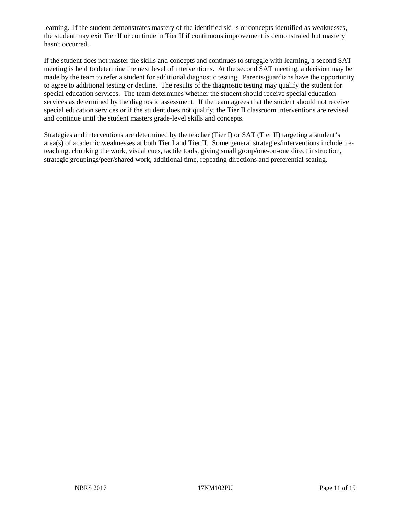learning. If the student demonstrates mastery of the identified skills or concepts identified as weaknesses, the student may exit Tier II or continue in Tier II if continuous improvement is demonstrated but mastery hasn't occurred.

If the student does not master the skills and concepts and continues to struggle with learning, a second SAT meeting is held to determine the next level of interventions. At the second SAT meeting, a decision may be made by the team to refer a student for additional diagnostic testing. Parents/guardians have the opportunity to agree to additional testing or decline. The results of the diagnostic testing may qualify the student for special education services. The team determines whether the student should receive special education services as determined by the diagnostic assessment. If the team agrees that the student should not receive special education services or if the student does not qualify, the Tier II classroom interventions are revised and continue until the student masters grade-level skills and concepts.

Strategies and interventions are determined by the teacher (Tier I) or SAT (Tier II) targeting a student's area(s) of academic weaknesses at both Tier I and Tier II. Some general strategies/interventions include: reteaching, chunking the work, visual cues, tactile tools, giving small group/one-on-one direct instruction, strategic groupings/peer/shared work, additional time, repeating directions and preferential seating.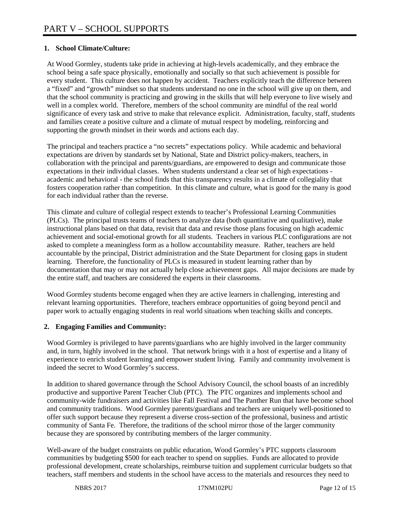# **1. School Climate/Culture:**

At Wood Gormley, students take pride in achieving at high-levels academically, and they embrace the school being a safe space physically, emotionally and socially so that such achievement is possible for every student. This culture does not happen by accident. Teachers explicitly teach the difference between a "fixed" and "growth" mindset so that students understand no one in the school will give up on them, and that the school community is practicing and growing in the skills that will help everyone to live wisely and well in a complex world. Therefore, members of the school community are mindful of the real world significance of every task and strive to make that relevance explicit. Administration, faculty, staff, students and families create a positive culture and a climate of mutual respect by modeling, reinforcing and supporting the growth mindset in their words and actions each day.

The principal and teachers practice a "no secrets" expectations policy. While academic and behavioral expectations are driven by standards set by National, State and District policy-makers, teachers, in collaboration with the principal and parents/guardians, are empowered to design and communicate those expectations in their individual classes. When students understand a clear set of high expectations academic and behavioral - the school finds that this transparency results in a climate of collegiality that fosters cooperation rather than competition. In this climate and culture, what is good for the many is good for each individual rather than the reverse.

This climate and culture of collegial respect extends to teacher's Professional Learning Communities (PLCs). The principal trusts teams of teachers to analyze data (both quantitative and qualitative), make instructional plans based on that data, revisit that data and revise those plans focusing on high academic achievement and social-emotional growth for all students. Teachers in various PLC configurations are not asked to complete a meaningless form as a hollow accountability measure. Rather, teachers are held accountable by the principal, District administration and the State Department for closing gaps in student learning. Therefore, the functionality of PLCs is measured in student learning rather than by documentation that may or may not actually help close achievement gaps. All major decisions are made by the entire staff, and teachers are considered the experts in their classrooms.

Wood Gormley students become engaged when they are active learners in challenging, interesting and relevant learning opportunities. Therefore, teachers embrace opportunities of going beyond pencil and paper work to actually engaging students in real world situations when teaching skills and concepts.

# **2. Engaging Families and Community:**

Wood Gormley is privileged to have parents/guardians who are highly involved in the larger community and, in turn, highly involved in the school. That network brings with it a host of expertise and a litany of experience to enrich student learning and empower student living. Family and community involvement is indeed the secret to Wood Gormley's success.

In addition to shared governance through the School Advisory Council, the school boasts of an incredibly productive and supportive Parent Teacher Club (PTC). The PTC organizes and implements school and community-wide fundraisers and activities like Fall Festival and The Panther Run that have become school and community traditions. Wood Gormley parents/guardians and teachers are uniquely well-positioned to offer such support because they represent a diverse cross-section of the professional, business and artistic community of Santa Fe. Therefore, the traditions of the school mirror those of the larger community because they are sponsored by contributing members of the larger community.

Well-aware of the budget constraints on public education, Wood Gormley's PTC supports classroom communities by budgeting \$500 for each teacher to spend on supplies. Funds are allocated to provide professional development, create scholarships, reimburse tuition and supplement curricular budgets so that teachers, staff members and students in the school have access to the materials and resources they need to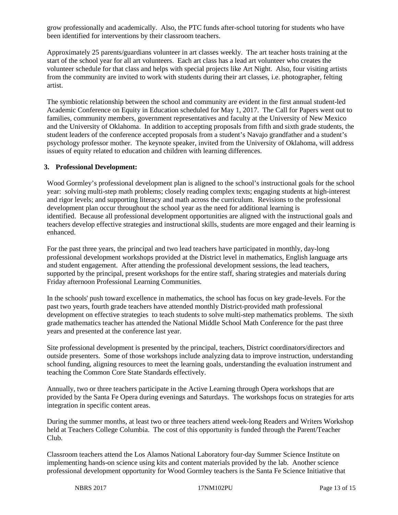grow professionally and academically. Also, the PTC funds after-school tutoring for students who have been identified for interventions by their classroom teachers.

Approximately 25 parents/guardians volunteer in art classes weekly. The art teacher hosts training at the start of the school year for all art volunteers. Each art class has a lead art volunteer who creates the volunteer schedule for that class and helps with special projects like Art Night. Also, four visiting artists from the community are invited to work with students during their art classes, i.e. photographer, felting artist.

The symbiotic relationship between the school and community are evident in the first annual student-led Academic Conference on Equity in Education scheduled for May 1, 2017. The Call for Papers went out to families, community members, government representatives and faculty at the University of New Mexico and the University of Oklahoma. In addition to accepting proposals from fifth and sixth grade students, the student leaders of the conference accepted proposals from a student's Navajo grandfather and a student's psychology professor mother. The keynote speaker, invited from the University of Oklahoma, will address issues of equity related to education and children with learning differences.

#### **3. Professional Development:**

Wood Gormley's professional development plan is aligned to the school's instructional goals for the school year: solving multi-step math problems; closely reading complex texts; engaging students at high-interest and rigor levels; and supporting literacy and math across the curriculum. Revisions to the professional development plan occur throughout the school year as the need for additional learning is identified. Because all professional development opportunities are aligned with the instructional goals and teachers develop effective strategies and instructional skills, students are more engaged and their learning is enhanced.

For the past three years, the principal and two lead teachers have participated in monthly, day-long professional development workshops provided at the District level in mathematics, English language arts and student engagement. After attending the professional development sessions, the lead teachers, supported by the principal, present workshops for the entire staff, sharing strategies and materials during Friday afternoon Professional Learning Communities.

In the schools' push toward excellence in mathematics, the school has focus on key grade-levels. For the past two years, fourth grade teachers have attended monthly District-provided math professional development on effective strategies to teach students to solve multi-step mathematics problems. The sixth grade mathematics teacher has attended the National Middle School Math Conference for the past three years and presented at the conference last year.

Site professional development is presented by the principal, teachers, District coordinators/directors and outside presenters. Some of those workshops include analyzing data to improve instruction, understanding school funding, aligning resources to meet the learning goals, understanding the evaluation instrument and teaching the Common Core State Standards effectively.

Annually, two or three teachers participate in the Active Learning through Opera workshops that are provided by the Santa Fe Opera during evenings and Saturdays. The workshops focus on strategies for arts integration in specific content areas.

During the summer months, at least two or three teachers attend week-long Readers and Writers Workshop held at Teachers College Columbia. The cost of this opportunity is funded through the Parent/Teacher Club.

Classroom teachers attend the Los Alamos National Laboratory four-day Summer Science Institute on implementing hands-on science using kits and content materials provided by the lab. Another science professional development opportunity for Wood Gormley teachers is the Santa Fe Science Initiative that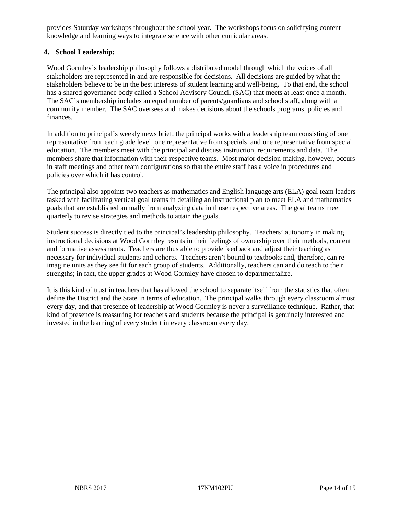provides Saturday workshops throughout the school year. The workshops focus on solidifying content knowledge and learning ways to integrate science with other curricular areas.

## **4. School Leadership:**

Wood Gormley's leadership philosophy follows a distributed model through which the voices of all stakeholders are represented in and are responsible for decisions. All decisions are guided by what the stakeholders believe to be in the best interests of student learning and well-being. To that end, the school has a shared governance body called a School Advisory Council (SAC) that meets at least once a month. The SAC's membership includes an equal number of parents/guardians and school staff, along with a community member. The SAC oversees and makes decisions about the schools programs, policies and finances.

In addition to principal's weekly news brief, the principal works with a leadership team consisting of one representative from each grade level, one representative from specials and one representative from special education. The members meet with the principal and discuss instruction, requirements and data. The members share that information with their respective teams. Most major decision-making, however, occurs in staff meetings and other team configurations so that the entire staff has a voice in procedures and policies over which it has control.

The principal also appoints two teachers as mathematics and English language arts (ELA) goal team leaders tasked with facilitating vertical goal teams in detailing an instructional plan to meet ELA and mathematics goals that are established annually from analyzing data in those respective areas. The goal teams meet quarterly to revise strategies and methods to attain the goals.

Student success is directly tied to the principal's leadership philosophy. Teachers' autonomy in making instructional decisions at Wood Gormley results in their feelings of ownership over their methods, content and formative assessments. Teachers are thus able to provide feedback and adjust their teaching as necessary for individual students and cohorts. Teachers aren't bound to textbooks and, therefore, can reimagine units as they see fit for each group of students. Additionally, teachers can and do teach to their strengths; in fact, the upper grades at Wood Gormley have chosen to departmentalize.

It is this kind of trust in teachers that has allowed the school to separate itself from the statistics that often define the District and the State in terms of education. The principal walks through every classroom almost every day, and that presence of leadership at Wood Gormley is never a surveillance technique. Rather, that kind of presence is reassuring for teachers and students because the principal is genuinely interested and invested in the learning of every student in every classroom every day.